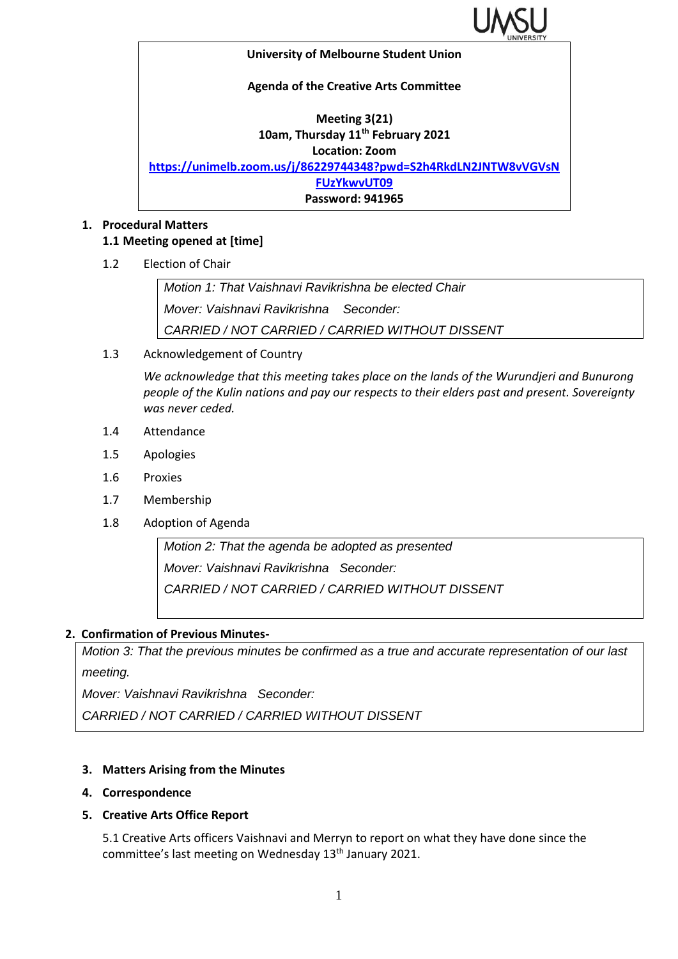

#### **University of Melbourne Student Union**

#### **Agenda of the Creative Arts Committee**

# **Meeting 3(21) 10am, Thursday 11th February 2021 Location: Zoom**

**[https://unimelb.zoom.us/j/86229744348?pwd=S2h4RkdLN2JNTW8vVGVsN](https://unimelb.zoom.us/j/86229744348?pwd=S2h4RkdLN2JNTW8vVGVsNFUzYkwvUT09)**

**[FUzYkwvUT09](https://unimelb.zoom.us/j/86229744348?pwd=S2h4RkdLN2JNTW8vVGVsNFUzYkwvUT09)**

### **Password: 941965**

#### **1. Procedural Matters 1.1 Meeting opened at [time]**

1.2 Election of Chair

*Motion 1: That Vaishnavi Ravikrishna be elected Chair Mover: Vaishnavi Ravikrishna Seconder: CARRIED / NOT CARRIED / CARRIED WITHOUT DISSENT*

1.3 Acknowledgement of Country

*We acknowledge that this meeting takes place on the lands of the Wurundjeri and Bunurong people of the Kulin nations and pay our respects to their elders past and present. Sovereignty was never ceded.* 

- 1.4 Attendance
- 1.5 Apologies
- 1.6 Proxies
- 1.7 Membership
- 1.8 Adoption of Agenda

*Motion 2: That the agenda be adopted as presented Mover: Vaishnavi Ravikrishna Seconder: CARRIED / NOT CARRIED / CARRIED WITHOUT DISSENT*

### **2. Confirmation of Previous Minutes-**

*Motion 3: That the previous minutes be confirmed as a true and accurate representation of our last meeting.*

*Mover: Vaishnavi Ravikrishna Seconder:* 

*CARRIED / NOT CARRIED / CARRIED WITHOUT DISSENT*

### **3. Matters Arising from the Minutes**

### **4. Correspondence**

### **5. Creative Arts Office Report**

5.1 Creative Arts officers Vaishnavi and Merryn to report on what they have done since the committee's last meeting on Wednesday 13<sup>th</sup> January 2021.